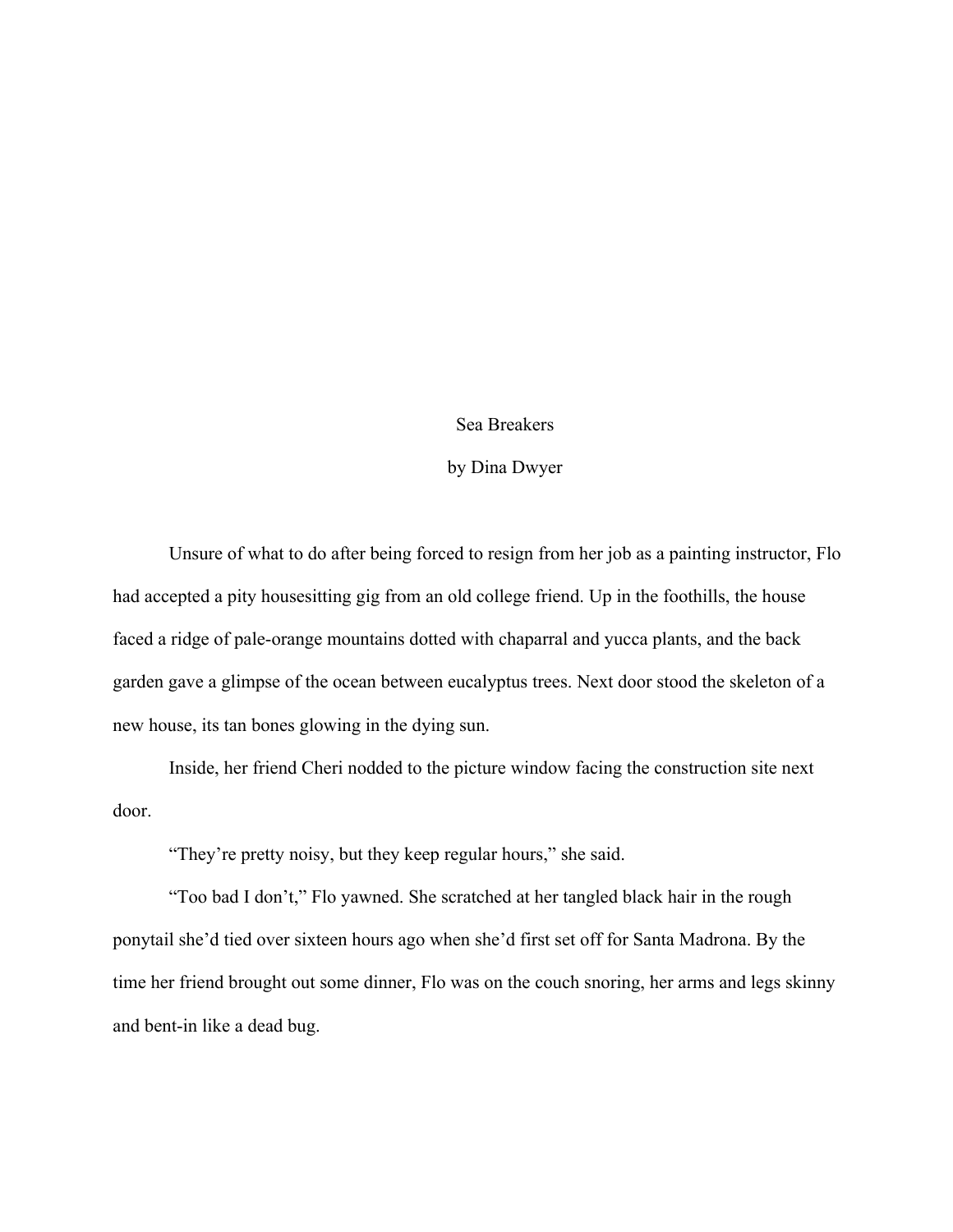## Sea Breakers

## by Dina Dwyer

Unsure of what to do after being forced to resign from her job as a painting instructor, Flo had accepted a pity housesitting gig from an old college friend. Up in the foothills, the house faced a ridge of pale-orange mountains dotted with chaparral and yucca plants, and the back garden gave a glimpse of the ocean between eucalyptus trees. Next door stood the skeleton of a new house, its tan bones glowing in the dying sun.

Inside, her friend Cheri nodded to the picture window facing the construction site next door.

"They're pretty noisy, but they keep regular hours," she said.

"Too bad I don't," Flo yawned. She scratched at her tangled black hair in the rough ponytail she'd tied over sixteen hours ago when she'd first set off for Santa Madrona. By the time her friend brought out some dinner, Flo was on the couch snoring, her arms and legs skinny and bent-in like a dead bug.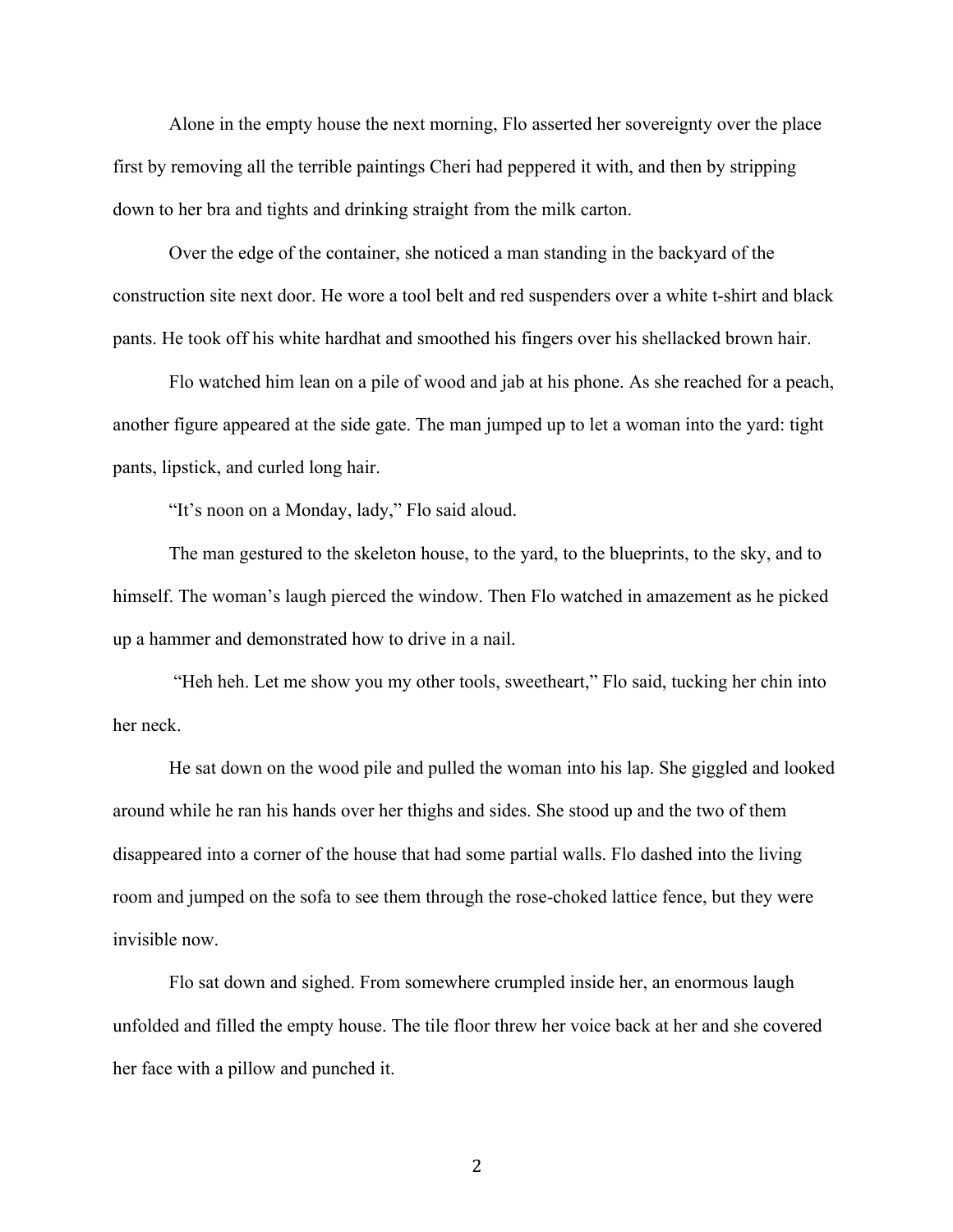Alone in the empty house the next morning, Flo asserted her sovereignty over the place first by removing all the terrible paintings Cheri had peppered it with, and then by stripping down to her bra and tights and drinking straight from the milk carton.

Over the edge of the container, she noticed a man standing in the backyard of the construction site next door. He wore a tool belt and red suspenders over a white t-shirt and black pants. He took off his white hardhat and smoothed his fingers over his shellacked brown hair.

Flo watched him lean on a pile of wood and jab at his phone. As she reached for a peach, another figure appeared at the side gate. The man jumped up to let a woman into the yard: tight pants, lipstick, and curled long hair.

"It's noon on a Monday, lady," Flo said aloud.

The man gestured to the skeleton house, to the yard, to the blueprints, to the sky, and to himself. The woman's laugh pierced the window. Then Flo watched in amazement as he picked up a hammer and demonstrated how to drive in a nail.

"Heh heh. Let me show you my other tools, sweetheart," Flo said, tucking her chin into her neck.

He sat down on the wood pile and pulled the woman into his lap. She giggled and looked around while he ran his hands over her thighs and sides. She stood up and the two of them disappeared into a corner of the house that had some partial walls. Flo dashed into the living room and jumped on the sofa to see them through the rose-choked lattice fence, but they were invisible now.

Flo sat down and sighed. From somewhere crumpled inside her, an enormous laugh unfolded and filled the empty house. The tile floor threw her voice back at her and she covered her face with a pillow and punched it.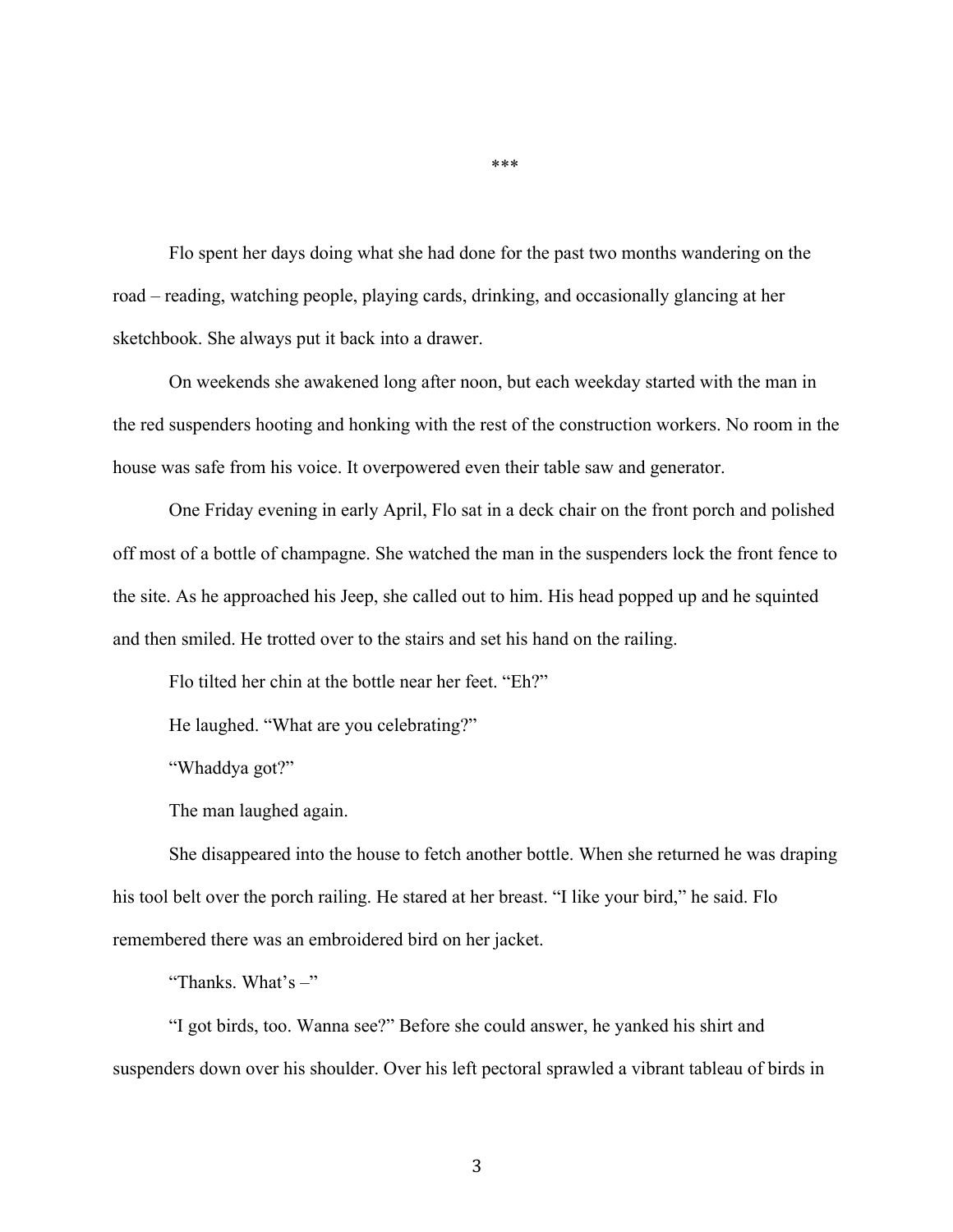Flo spent her days doing what she had done for the past two months wandering on the road – reading, watching people, playing cards, drinking, and occasionally glancing at her sketchbook. She always put it back into a drawer.

On weekends she awakened long after noon, but each weekday started with the man in the red suspenders hooting and honking with the rest of the construction workers. No room in the house was safe from his voice. It overpowered even their table saw and generator.

One Friday evening in early April, Flo sat in a deck chair on the front porch and polished off most of a bottle of champagne. She watched the man in the suspenders lock the front fence to the site. As he approached his Jeep, she called out to him. His head popped up and he squinted and then smiled. He trotted over to the stairs and set his hand on the railing.

Flo tilted her chin at the bottle near her feet. "Eh?"

He laughed. "What are you celebrating?"

"Whaddya got?"

The man laughed again.

She disappeared into the house to fetch another bottle. When she returned he was draping his tool belt over the porch railing. He stared at her breast. "I like your bird," he said. Flo remembered there was an embroidered bird on her jacket.

"Thanks. What's  $-$ "

"I got birds, too. Wanna see?" Before she could answer, he yanked his shirt and suspenders down over his shoulder. Over his left pectoral sprawled a vibrant tableau of birds in

\*\*\*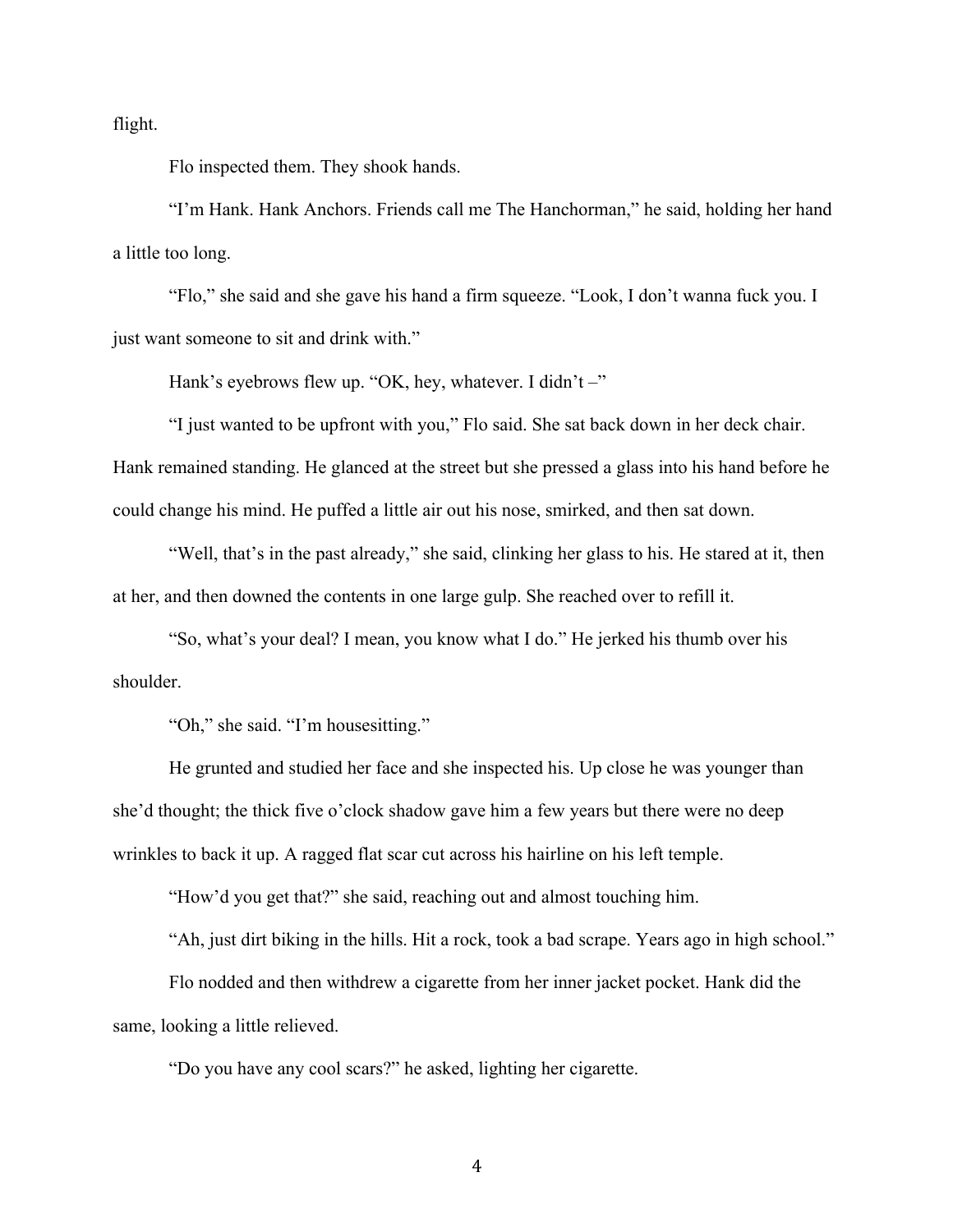flight.

Flo inspected them. They shook hands.

"I'm Hank. Hank Anchors. Friends call me The Hanchorman," he said, holding her hand a little too long.

"Flo," she said and she gave his hand a firm squeeze. "Look, I don't wanna fuck you. I just want someone to sit and drink with."

Hank's eyebrows flew up. "OK, hey, whatever. I didn't -"

"I just wanted to be upfront with you," Flo said. She sat back down in her deck chair. Hank remained standing. He glanced at the street but she pressed a glass into his hand before he could change his mind. He puffed a little air out his nose, smirked, and then sat down.

"Well, that's in the past already," she said, clinking her glass to his. He stared at it, then at her, and then downed the contents in one large gulp. She reached over to refill it.

"So, what's your deal? I mean, you know what I do." He jerked his thumb over his shoulder.

"Oh," she said. "I'm housesitting."

He grunted and studied her face and she inspected his. Up close he was younger than she'd thought; the thick five o'clock shadow gave him a few years but there were no deep wrinkles to back it up. A ragged flat scar cut across his hairline on his left temple.

"How'd you get that?" she said, reaching out and almost touching him.

"Ah, just dirt biking in the hills. Hit a rock, took a bad scrape. Years ago in high school."

Flo nodded and then withdrew a cigarette from her inner jacket pocket. Hank did the same, looking a little relieved.

"Do you have any cool scars?" he asked, lighting her cigarette.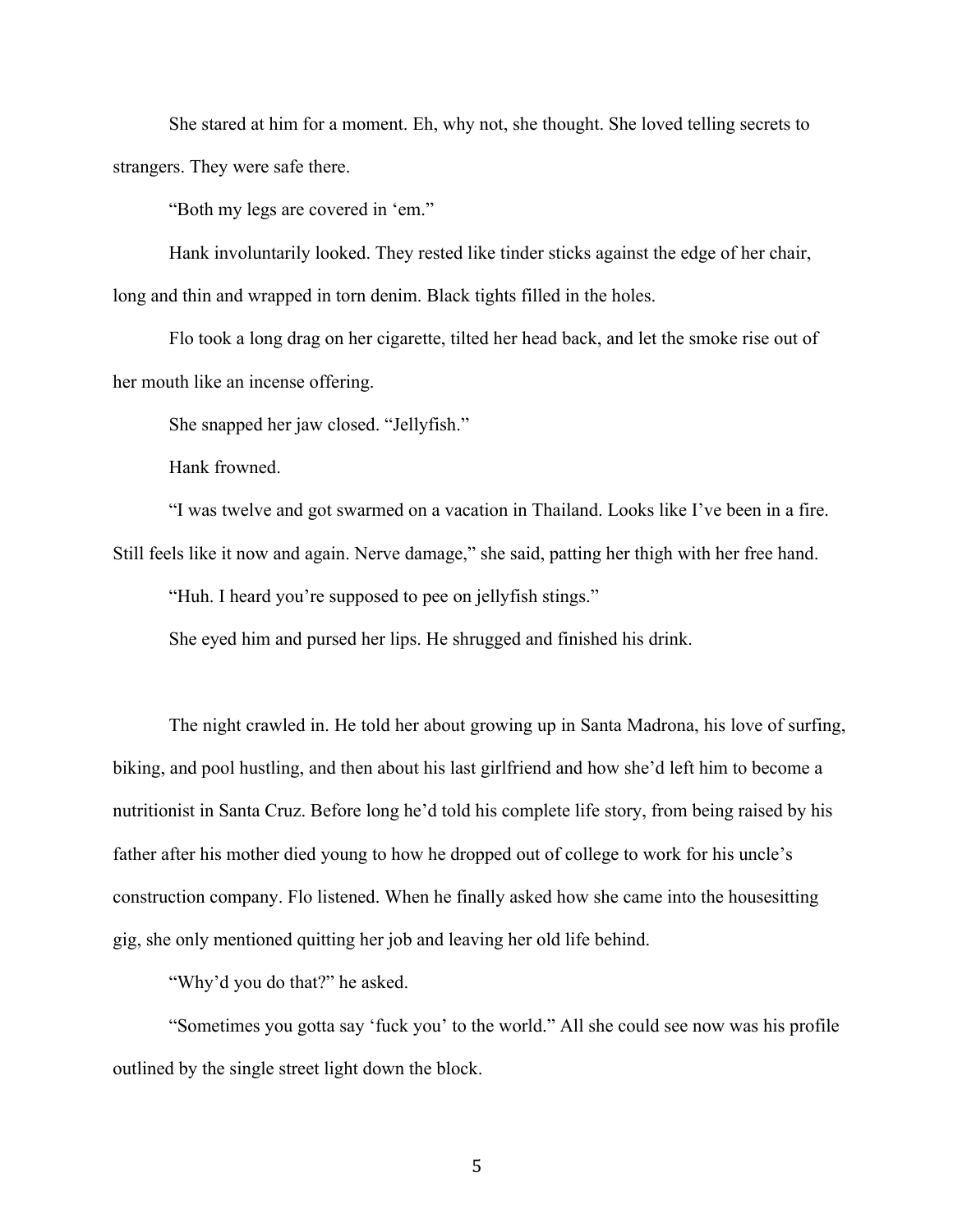She stared at him for a moment. Eh, why not, she thought. She loved telling secrets to strangers. They were safe there.

"Both my legs are covered in 'em."

Hank involuntarily looked. They rested like tinder sticks against the edge of her chair, long and thin and wrapped in torn denim. Black tights filled in the holes.

Flo took a long drag on her cigarette, tilted her head back, and let the smoke rise out of her mouth like an incense offering.

She snapped her jaw closed. "Jellyfish."

Hank frowned.

"I was twelve and got swarmed on a vacation in Thailand. Looks like I've been in a fire. Still feels like it now and again. Nerve damage," she said, patting her thigh with her free hand.

"Huh. I heard you're supposed to pee on jellyfish stings."

She eyed him and pursed her lips. He shrugged and finished his drink.

The night crawled in. He told her about growing up in Santa Madrona, his love of surfing, biking, and pool hustling, and then about his last girlfriend and how she'd left him to become a nutritionist in Santa Cruz. Before long he'd told his complete life story, from being raised by his father after his mother died young to how he dropped out of college to work for his uncle's construction company. Flo listened. When he finally asked how she came into the housesitting gig, she only mentioned quitting her job and leaving her old life behind.

"Why'd you do that?" he asked.

"Sometimes you gotta say 'fuck you' to the world." All she could see now was his profile outlined by the single street light down the block.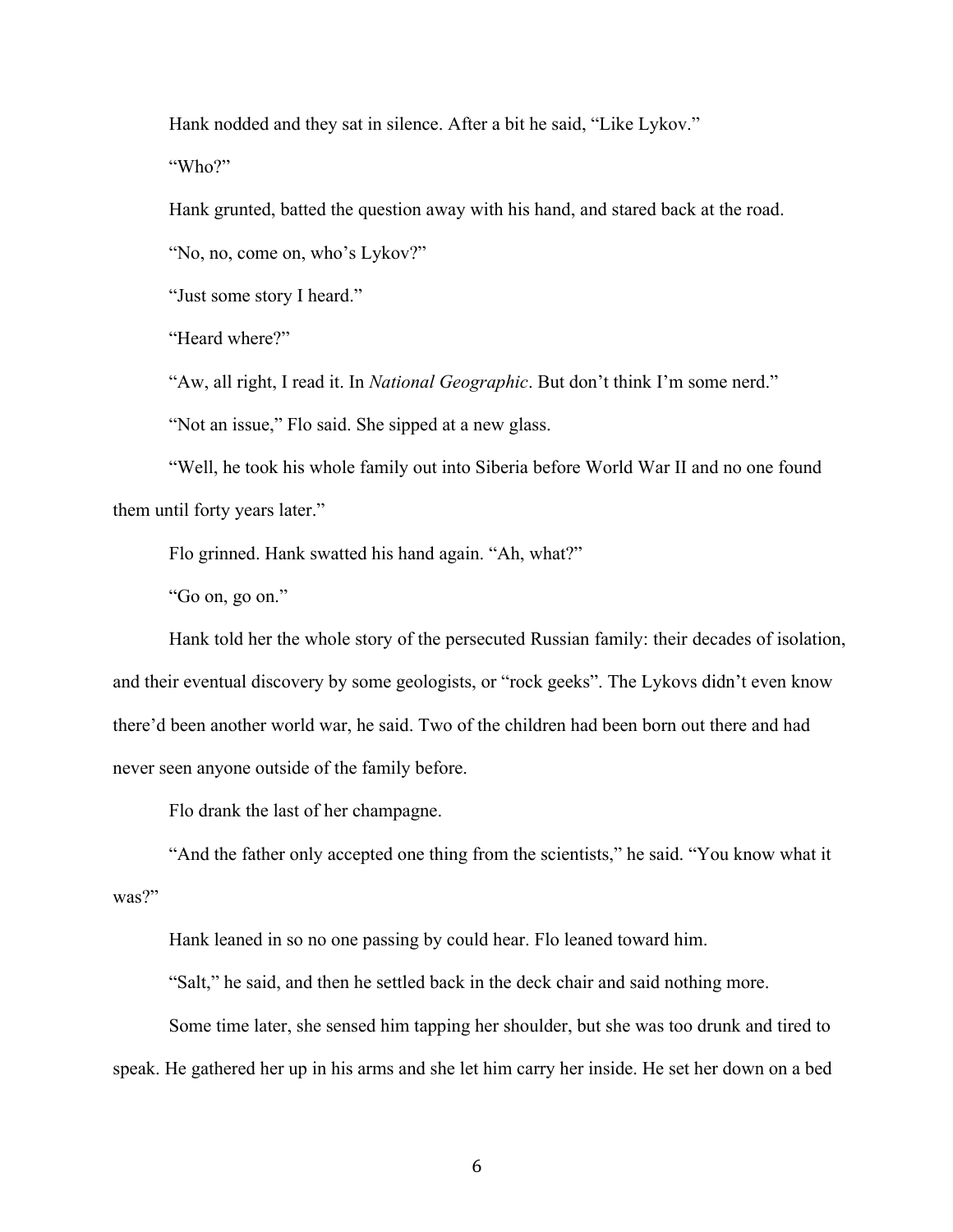Hank nodded and they sat in silence. After a bit he said, "Like Lykov."

"Who?"

Hank grunted, batted the question away with his hand, and stared back at the road.

"No, no, come on, who's Lykov?"

"Just some story I heard."

"Heard where?"

"Aw, all right, I read it. In *National Geographic*. But don't think I'm some nerd."

"Not an issue," Flo said. She sipped at a new glass.

"Well, he took his whole family out into Siberia before World War II and no one found them until forty years later."

Flo grinned. Hank swatted his hand again. "Ah, what?"

"Go on, go on."

Hank told her the whole story of the persecuted Russian family: their decades of isolation, and their eventual discovery by some geologists, or "rock geeks". The Lykovs didn't even know there'd been another world war, he said. Two of the children had been born out there and had never seen anyone outside of the family before.

Flo drank the last of her champagne.

"And the father only accepted one thing from the scientists," he said. "You know what it was?"

Hank leaned in so no one passing by could hear. Flo leaned toward him.

"Salt," he said, and then he settled back in the deck chair and said nothing more.

Some time later, she sensed him tapping her shoulder, but she was too drunk and tired to speak. He gathered her up in his arms and she let him carry her inside. He set her down on a bed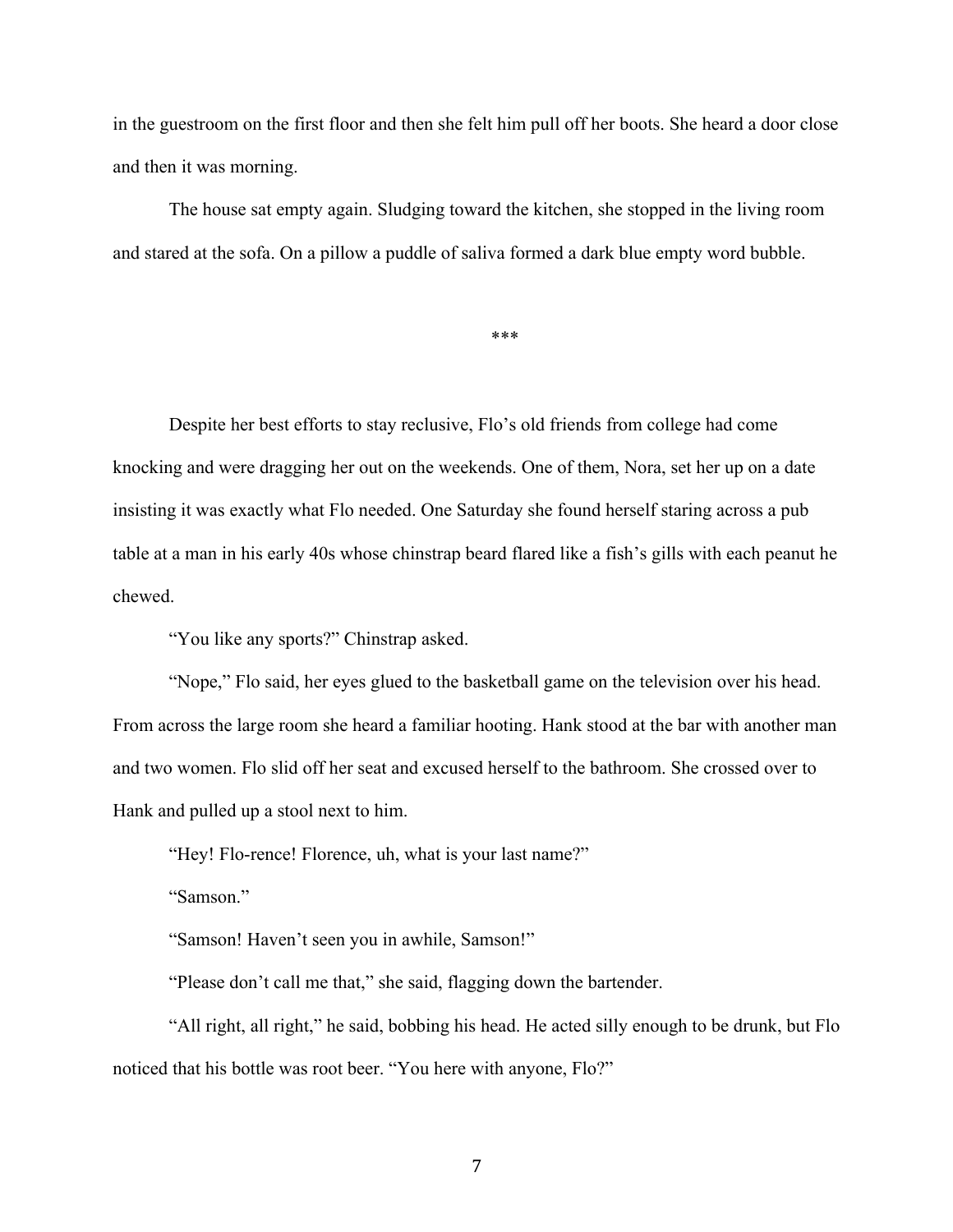in the guestroom on the first floor and then she felt him pull off her boots. She heard a door close and then it was morning.

The house sat empty again. Sludging toward the kitchen, she stopped in the living room and stared at the sofa. On a pillow a puddle of saliva formed a dark blue empty word bubble.

\*\*\*

Despite her best efforts to stay reclusive, Flo's old friends from college had come knocking and were dragging her out on the weekends. One of them, Nora, set her up on a date insisting it was exactly what Flo needed. One Saturday she found herself staring across a pub table at a man in his early 40s whose chinstrap beard flared like a fish's gills with each peanut he chewed.

"You like any sports?" Chinstrap asked.

"Nope," Flo said, her eyes glued to the basketball game on the television over his head. From across the large room she heard a familiar hooting. Hank stood at the bar with another man and two women. Flo slid off her seat and excused herself to the bathroom. She crossed over to Hank and pulled up a stool next to him.

"Hey! Flo-rence! Florence, uh, what is your last name?"

"Samson."

"Samson! Haven't seen you in awhile, Samson!"

"Please don't call me that," she said, flagging down the bartender.

"All right, all right," he said, bobbing his head. He acted silly enough to be drunk, but Flo noticed that his bottle was root beer. "You here with anyone, Flo?"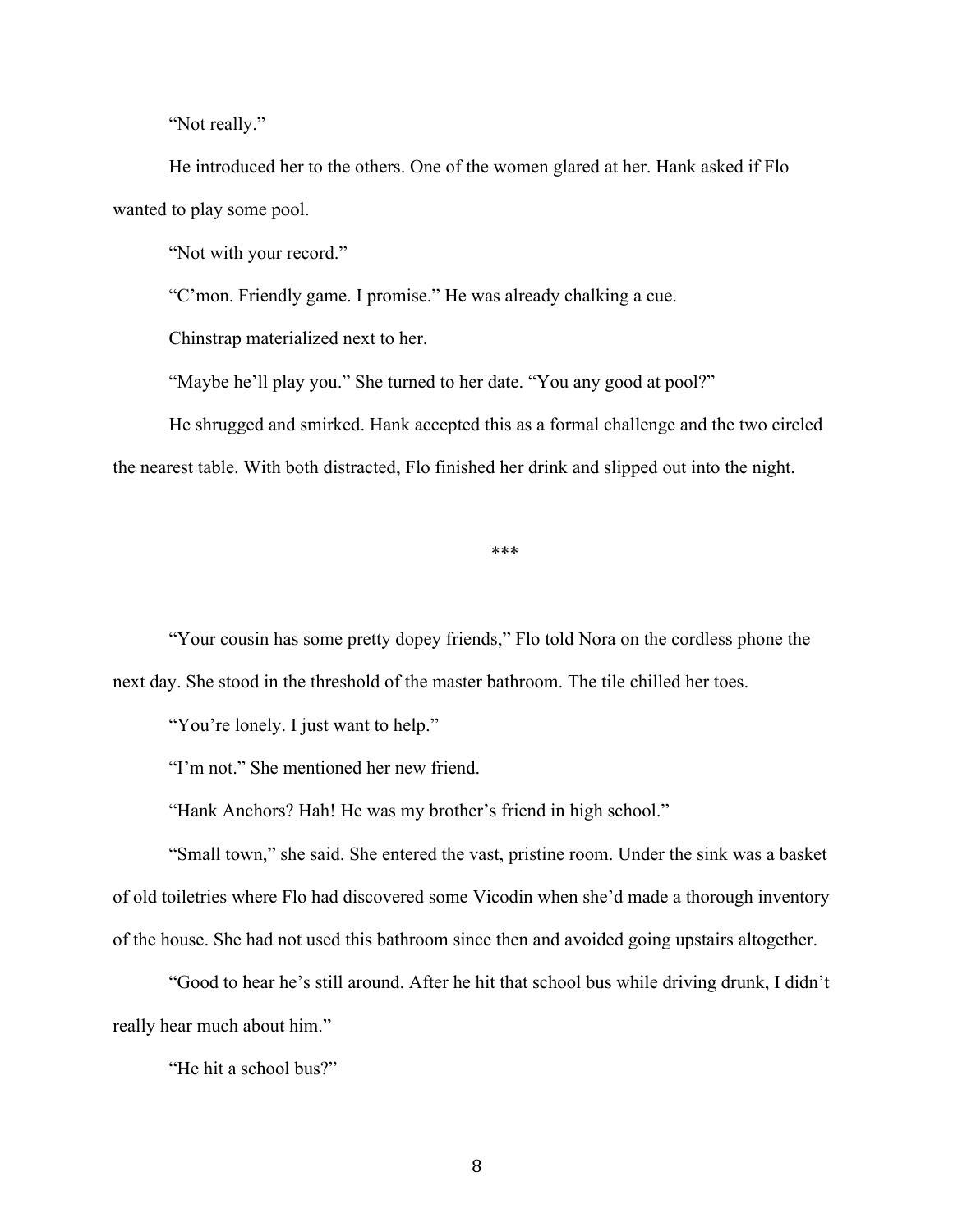"Not really."

He introduced her to the others. One of the women glared at her. Hank asked if Flo wanted to play some pool.

"Not with your record."

"C'mon. Friendly game. I promise." He was already chalking a cue.

Chinstrap materialized next to her.

"Maybe he'll play you." She turned to her date. "You any good at pool?"

He shrugged and smirked. Hank accepted this as a formal challenge and the two circled the nearest table. With both distracted, Flo finished her drink and slipped out into the night.

\*\*\*

"Your cousin has some pretty dopey friends," Flo told Nora on the cordless phone the next day. She stood in the threshold of the master bathroom. The tile chilled her toes.

"You're lonely. I just want to help."

"I'm not." She mentioned her new friend.

"Hank Anchors? Hah! He was my brother's friend in high school."

"Small town," she said. She entered the vast, pristine room. Under the sink was a basket of old toiletries where Flo had discovered some Vicodin when she'd made a thorough inventory of the house. She had not used this bathroom since then and avoided going upstairs altogether.

"Good to hear he's still around. After he hit that school bus while driving drunk, I didn't really hear much about him."

"He hit a school bus?"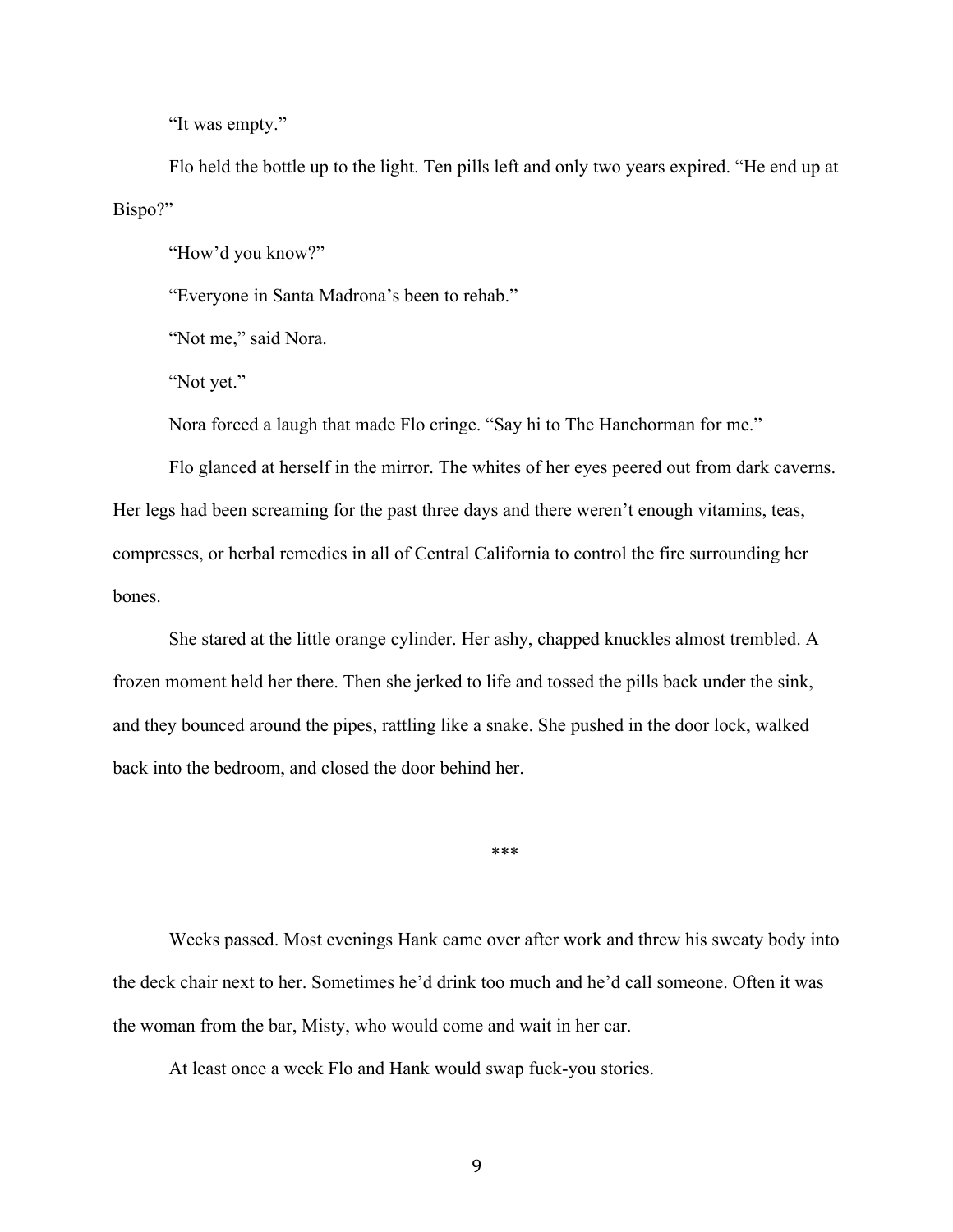"It was empty."

Flo held the bottle up to the light. Ten pills left and only two years expired. "He end up at Bispo?"

"How'd you know?"

"Everyone in Santa Madrona's been to rehab."

"Not me," said Nora.

"Not yet."

Nora forced a laugh that made Flo cringe. "Say hi to The Hanchorman for me."

Flo glanced at herself in the mirror. The whites of her eyes peered out from dark caverns. Her legs had been screaming for the past three days and there weren't enough vitamins, teas, compresses, or herbal remedies in all of Central California to control the fire surrounding her bones.

She stared at the little orange cylinder. Her ashy, chapped knuckles almost trembled. A frozen moment held her there. Then she jerked to life and tossed the pills back under the sink, and they bounced around the pipes, rattling like a snake. She pushed in the door lock, walked back into the bedroom, and closed the door behind her.

\*\*\*

Weeks passed. Most evenings Hank came over after work and threw his sweaty body into the deck chair next to her. Sometimes he'd drink too much and he'd call someone. Often it was the woman from the bar, Misty, who would come and wait in her car.

At least once a week Flo and Hank would swap fuck-you stories.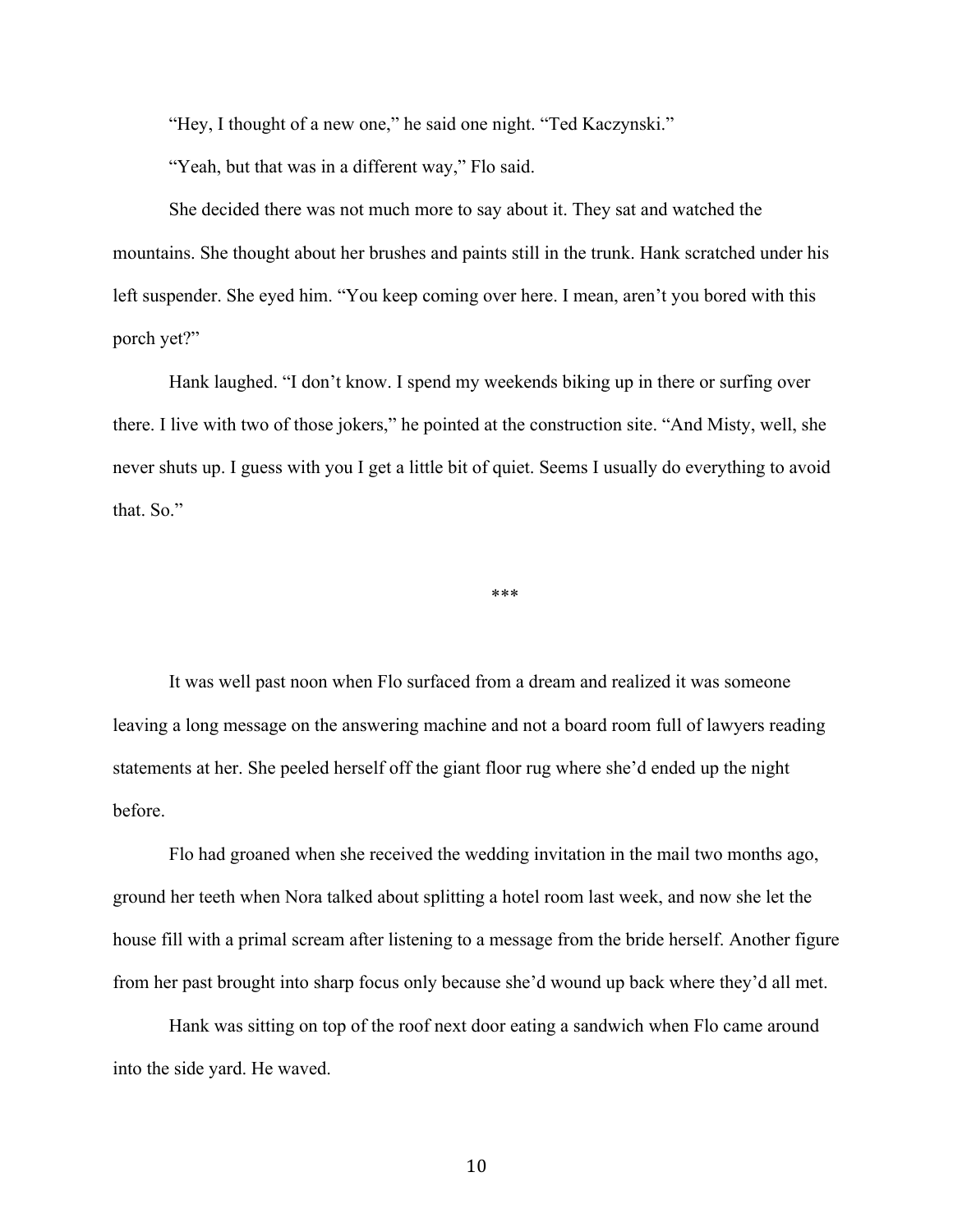"Hey, I thought of a new one," he said one night. "Ted Kaczynski."

"Yeah, but that was in a different way," Flo said.

She decided there was not much more to say about it. They sat and watched the mountains. She thought about her brushes and paints still in the trunk. Hank scratched under his left suspender. She eyed him. "You keep coming over here. I mean, aren't you bored with this porch yet?"

Hank laughed. "I don't know. I spend my weekends biking up in there or surfing over there. I live with two of those jokers," he pointed at the construction site. "And Misty, well, she never shuts up. I guess with you I get a little bit of quiet. Seems I usually do everything to avoid that. So."

\*\*\*

It was well past noon when Flo surfaced from a dream and realized it was someone leaving a long message on the answering machine and not a board room full of lawyers reading statements at her. She peeled herself off the giant floor rug where she'd ended up the night before.

Flo had groaned when she received the wedding invitation in the mail two months ago, ground her teeth when Nora talked about splitting a hotel room last week, and now she let the house fill with a primal scream after listening to a message from the bride herself. Another figure from her past brought into sharp focus only because she'd wound up back where they'd all met.

Hank was sitting on top of the roof next door eating a sandwich when Flo came around into the side yard. He waved.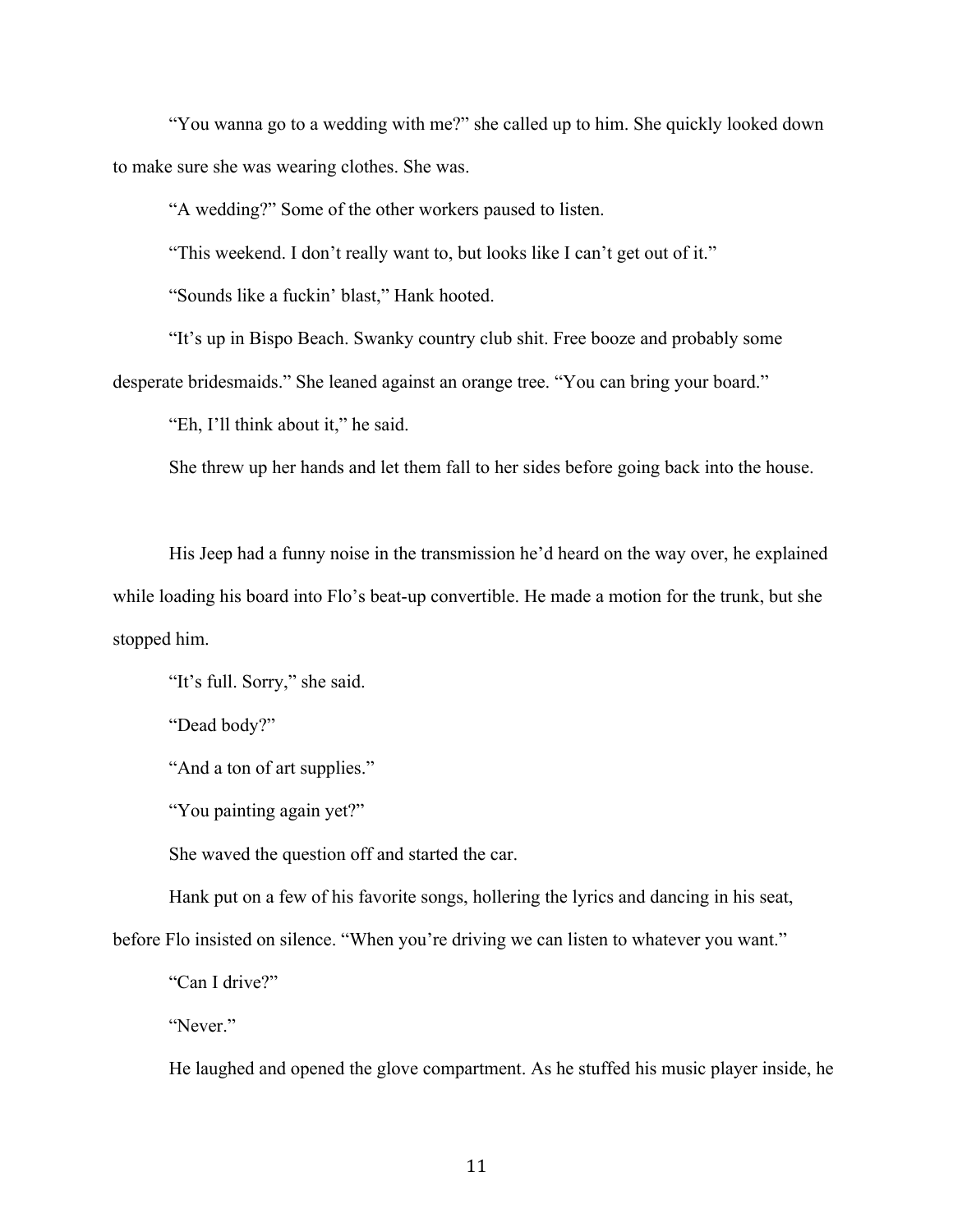"You wanna go to a wedding with me?" she called up to him. She quickly looked down to make sure she was wearing clothes. She was.

"A wedding?" Some of the other workers paused to listen.

"This weekend. I don't really want to, but looks like I can't get out of it."

"Sounds like a fuckin' blast," Hank hooted.

"It's up in Bispo Beach. Swanky country club shit. Free booze and probably some

desperate bridesmaids." She leaned against an orange tree. "You can bring your board."

"Eh, I'll think about it," he said.

She threw up her hands and let them fall to her sides before going back into the house.

His Jeep had a funny noise in the transmission he'd heard on the way over, he explained while loading his board into Flo's beat-up convertible. He made a motion for the trunk, but she stopped him.

"It's full. Sorry," she said.

"Dead body?"

"And a ton of art supplies."

"You painting again yet?"

She waved the question off and started the car.

Hank put on a few of his favorite songs, hollering the lyrics and dancing in his seat,

before Flo insisted on silence. "When you're driving we can listen to whatever you want."

"Can I drive?"

"Never."

He laughed and opened the glove compartment. As he stuffed his music player inside, he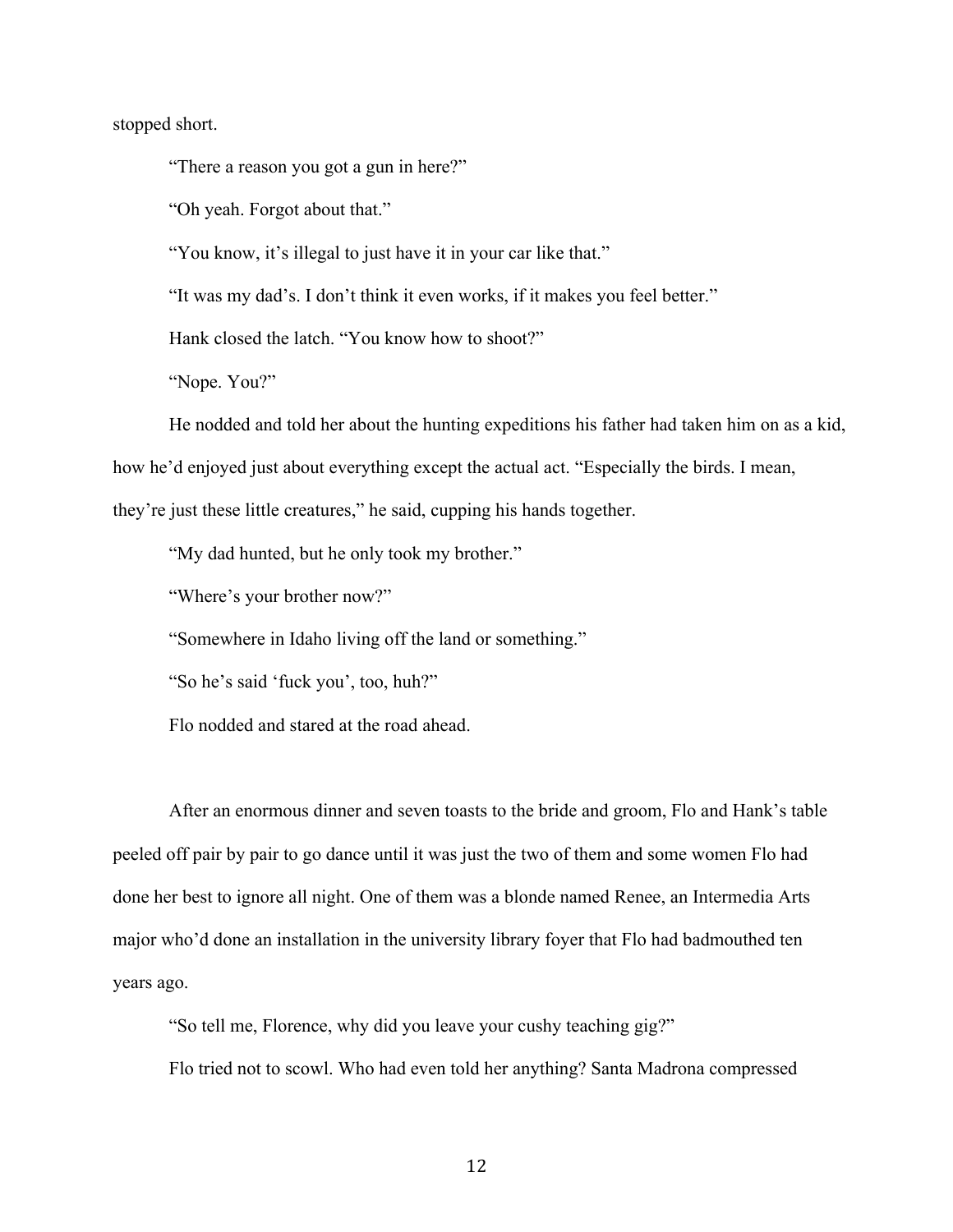stopped short.

"There a reason you got a gun in here?"

"Oh yeah. Forgot about that."

"You know, it's illegal to just have it in your car like that."

"It was my dad's. I don't think it even works, if it makes you feel better."

Hank closed the latch. "You know how to shoot?"

"Nope. You?"

He nodded and told her about the hunting expeditions his father had taken him on as a kid,

how he'd enjoyed just about everything except the actual act. "Especially the birds. I mean,

they're just these little creatures," he said, cupping his hands together.

"My dad hunted, but he only took my brother."

"Where's your brother now?"

"Somewhere in Idaho living off the land or something."

"So he's said 'fuck you', too, huh?"

Flo nodded and stared at the road ahead.

After an enormous dinner and seven toasts to the bride and groom, Flo and Hank's table peeled off pair by pair to go dance until it was just the two of them and some women Flo had done her best to ignore all night. One of them was a blonde named Renee, an Intermedia Arts major who'd done an installation in the university library foyer that Flo had badmouthed ten years ago.

"So tell me, Florence, why did you leave your cushy teaching gig?"

Flo tried not to scowl. Who had even told her anything? Santa Madrona compressed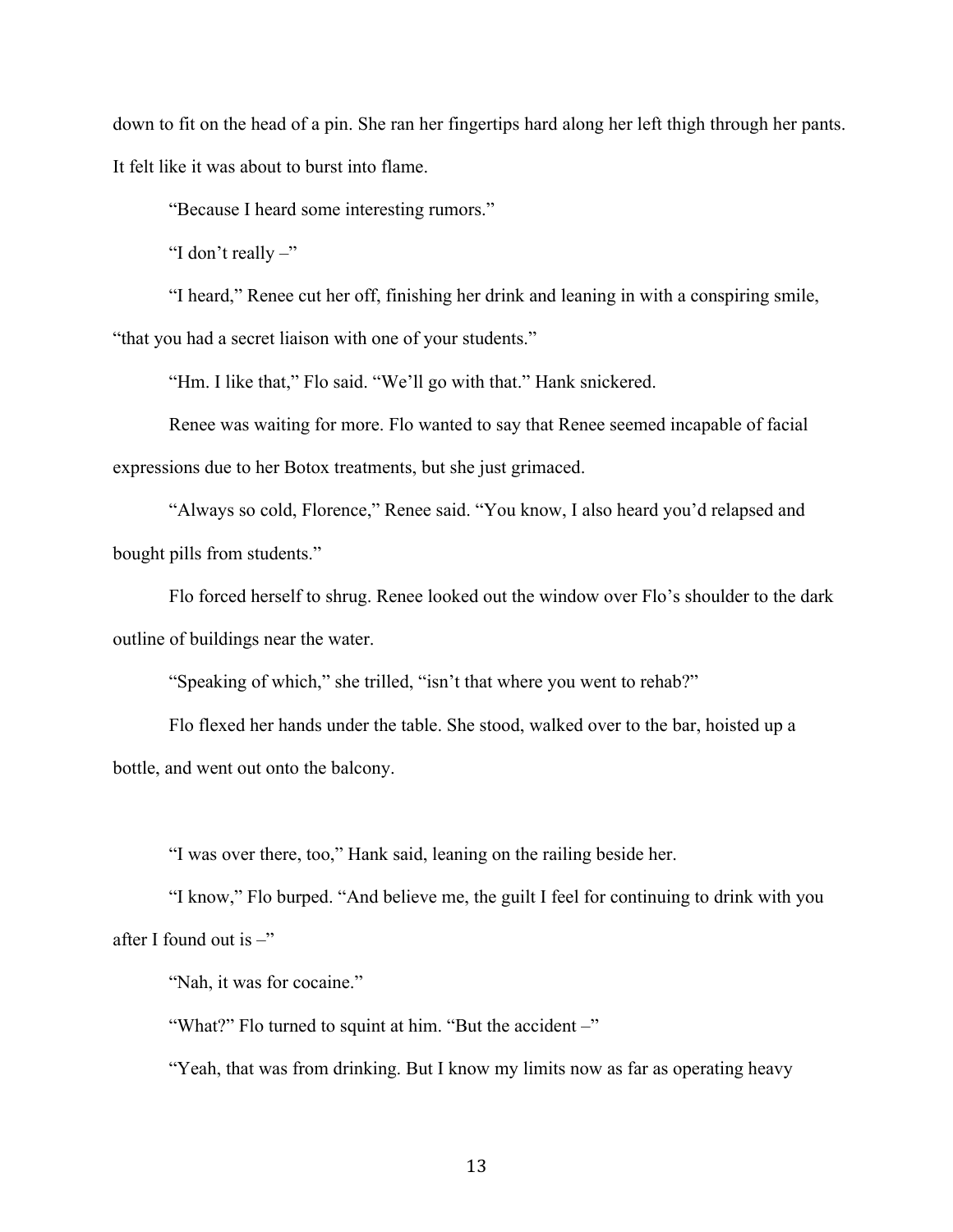down to fit on the head of a pin. She ran her fingertips hard along her left thigh through her pants. It felt like it was about to burst into flame.

"Because I heard some interesting rumors."

"I don't really –"

"I heard," Renee cut her off, finishing her drink and leaning in with a conspiring smile, "that you had a secret liaison with one of your students."

"Hm. I like that," Flo said. "We'll go with that." Hank snickered.

Renee was waiting for more. Flo wanted to say that Renee seemed incapable of facial expressions due to her Botox treatments, but she just grimaced.

"Always so cold, Florence," Renee said. "You know, I also heard you'd relapsed and bought pills from students."

Flo forced herself to shrug. Renee looked out the window over Flo's shoulder to the dark outline of buildings near the water.

"Speaking of which," she trilled, "isn't that where you went to rehab?"

Flo flexed her hands under the table. She stood, walked over to the bar, hoisted up a bottle, and went out onto the balcony.

"I was over there, too," Hank said, leaning on the railing beside her.

"I know," Flo burped. "And believe me, the guilt I feel for continuing to drink with you after I found out is  $-$ "

"Nah, it was for cocaine."

"What?" Flo turned to squint at him. "But the accident –"

"Yeah, that was from drinking. But I know my limits now as far as operating heavy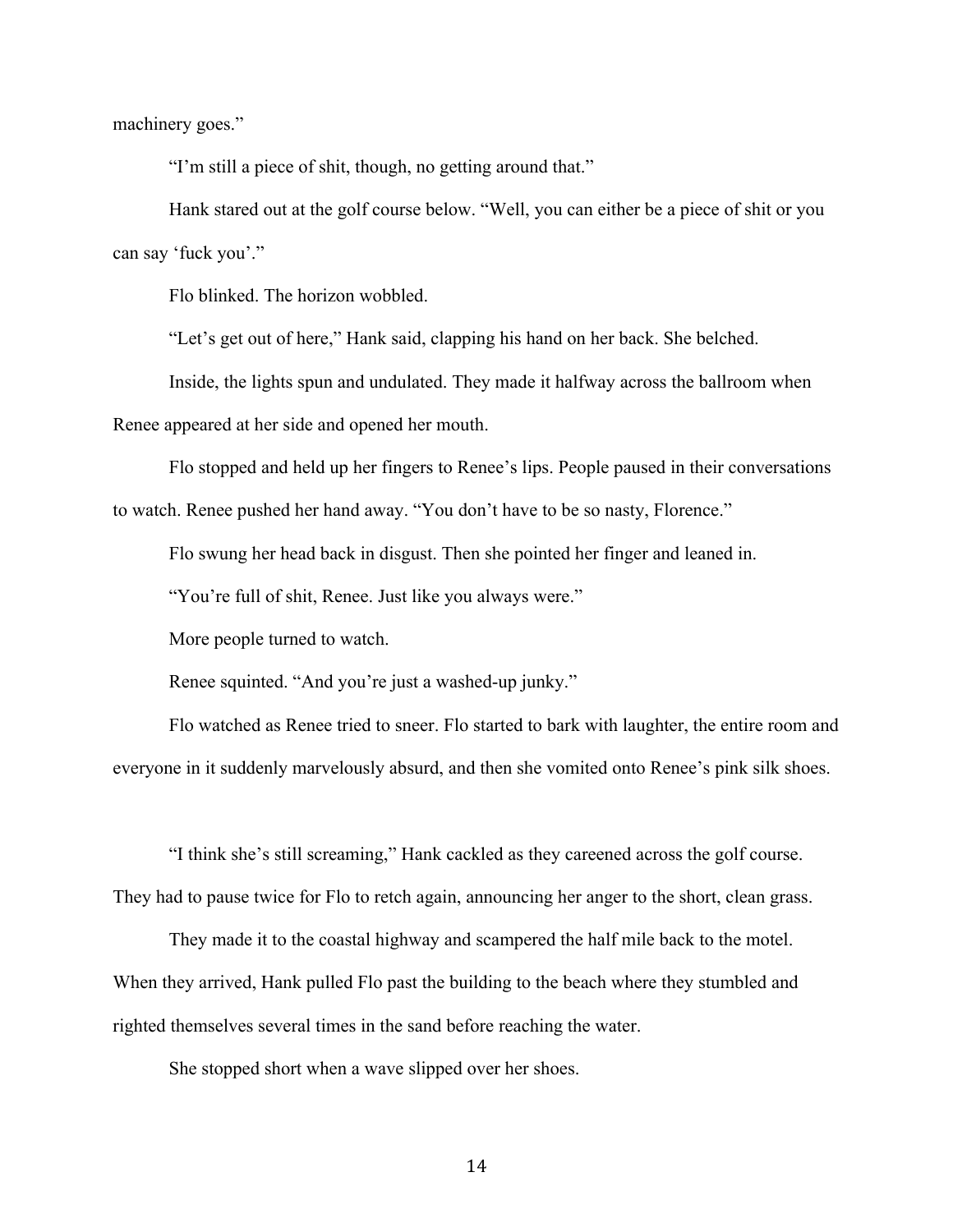machinery goes."

"I'm still a piece of shit, though, no getting around that."

Hank stared out at the golf course below. "Well, you can either be a piece of shit or you can say 'fuck you'."

Flo blinked. The horizon wobbled.

"Let's get out of here," Hank said, clapping his hand on her back. She belched.

Inside, the lights spun and undulated. They made it halfway across the ballroom when

Renee appeared at her side and opened her mouth.

Flo stopped and held up her fingers to Renee's lips. People paused in their conversations

to watch. Renee pushed her hand away. "You don't have to be so nasty, Florence."

Flo swung her head back in disgust. Then she pointed her finger and leaned in.

"You're full of shit, Renee. Just like you always were."

More people turned to watch.

Renee squinted. "And you're just a washed-up junky."

Flo watched as Renee tried to sneer. Flo started to bark with laughter, the entire room and everyone in it suddenly marvelously absurd, and then she vomited onto Renee's pink silk shoes.

"I think she's still screaming," Hank cackled as they careened across the golf course. They had to pause twice for Flo to retch again, announcing her anger to the short, clean grass.

They made it to the coastal highway and scampered the half mile back to the motel. When they arrived, Hank pulled Flo past the building to the beach where they stumbled and righted themselves several times in the sand before reaching the water.

She stopped short when a wave slipped over her shoes.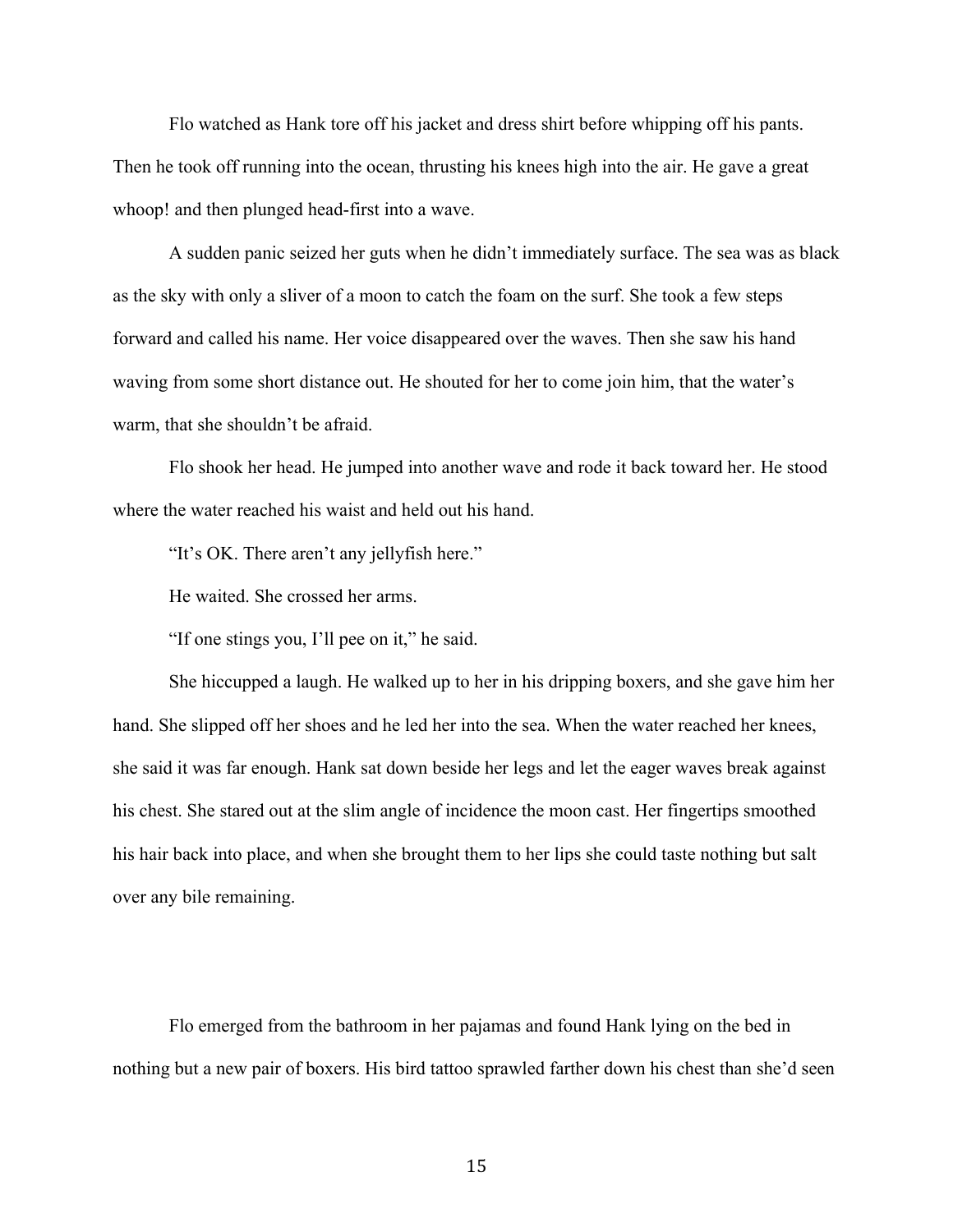Flo watched as Hank tore off his jacket and dress shirt before whipping off his pants. Then he took off running into the ocean, thrusting his knees high into the air. He gave a great whoop! and then plunged head-first into a wave.

A sudden panic seized her guts when he didn't immediately surface. The sea was as black as the sky with only a sliver of a moon to catch the foam on the surf. She took a few steps forward and called his name. Her voice disappeared over the waves. Then she saw his hand waving from some short distance out. He shouted for her to come join him, that the water's warm, that she shouldn't be afraid.

Flo shook her head. He jumped into another wave and rode it back toward her. He stood where the water reached his waist and held out his hand.

"It's OK. There aren't any jellyfish here."

He waited. She crossed her arms.

"If one stings you, I'll pee on it," he said.

She hiccupped a laugh. He walked up to her in his dripping boxers, and she gave him her hand. She slipped off her shoes and he led her into the sea. When the water reached her knees, she said it was far enough. Hank sat down beside her legs and let the eager waves break against his chest. She stared out at the slim angle of incidence the moon cast. Her fingertips smoothed his hair back into place, and when she brought them to her lips she could taste nothing but salt over any bile remaining.

Flo emerged from the bathroom in her pajamas and found Hank lying on the bed in nothing but a new pair of boxers. His bird tattoo sprawled farther down his chest than she'd seen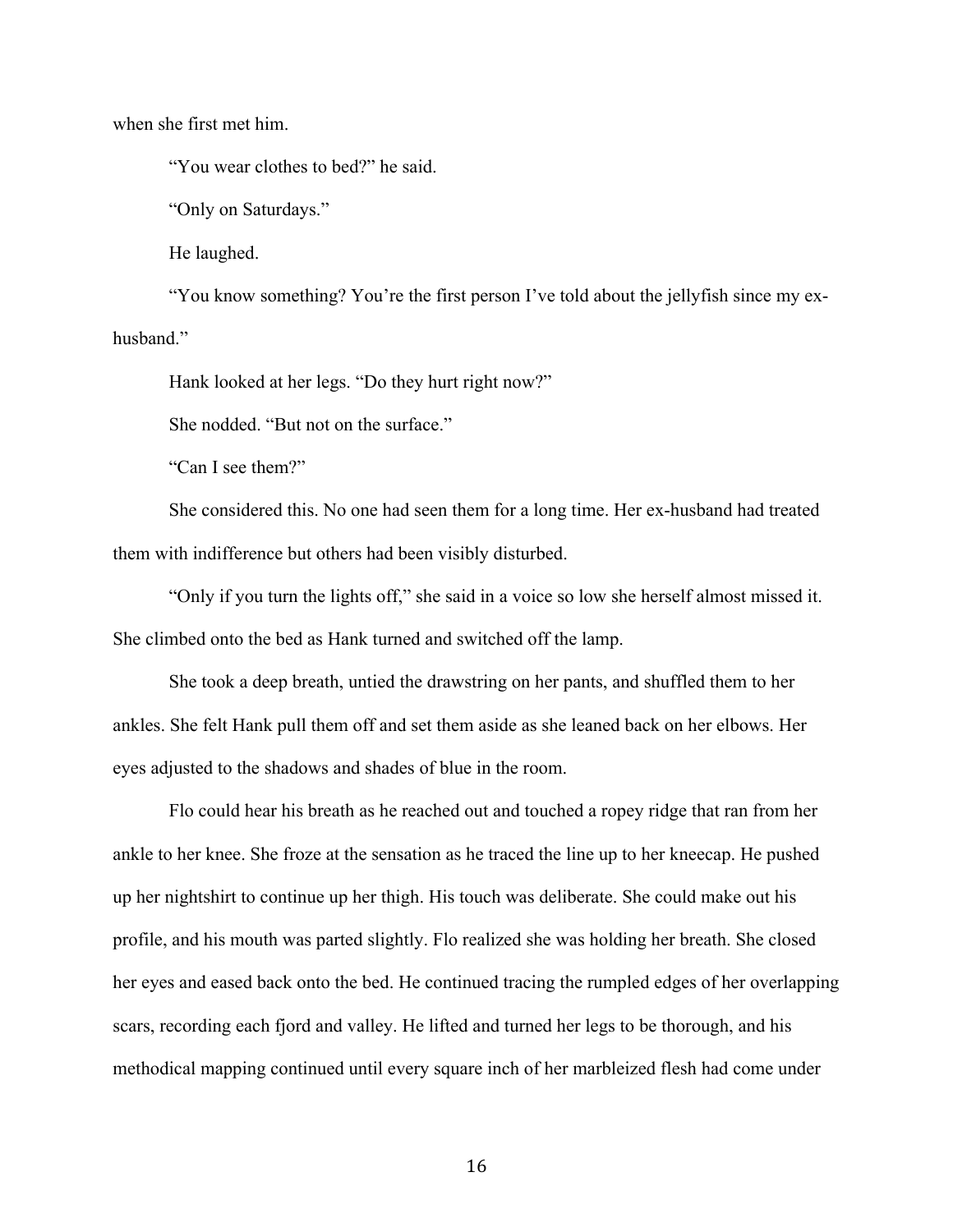when she first met him.

"You wear clothes to bed?" he said.

"Only on Saturdays."

He laughed.

"You know something? You're the first person I've told about the jellyfish since my exhusband"

Hank looked at her legs. "Do they hurt right now?"

She nodded. "But not on the surface."

"Can I see them?"

She considered this. No one had seen them for a long time. Her ex-husband had treated them with indifference but others had been visibly disturbed.

"Only if you turn the lights off," she said in a voice so low she herself almost missed it. She climbed onto the bed as Hank turned and switched off the lamp.

She took a deep breath, untied the drawstring on her pants, and shuffled them to her ankles. She felt Hank pull them off and set them aside as she leaned back on her elbows. Her eyes adjusted to the shadows and shades of blue in the room.

Flo could hear his breath as he reached out and touched a ropey ridge that ran from her ankle to her knee. She froze at the sensation as he traced the line up to her kneecap. He pushed up her nightshirt to continue up her thigh. His touch was deliberate. She could make out his profile, and his mouth was parted slightly. Flo realized she was holding her breath. She closed her eyes and eased back onto the bed. He continued tracing the rumpled edges of her overlapping scars, recording each fjord and valley. He lifted and turned her legs to be thorough, and his methodical mapping continued until every square inch of her marbleized flesh had come under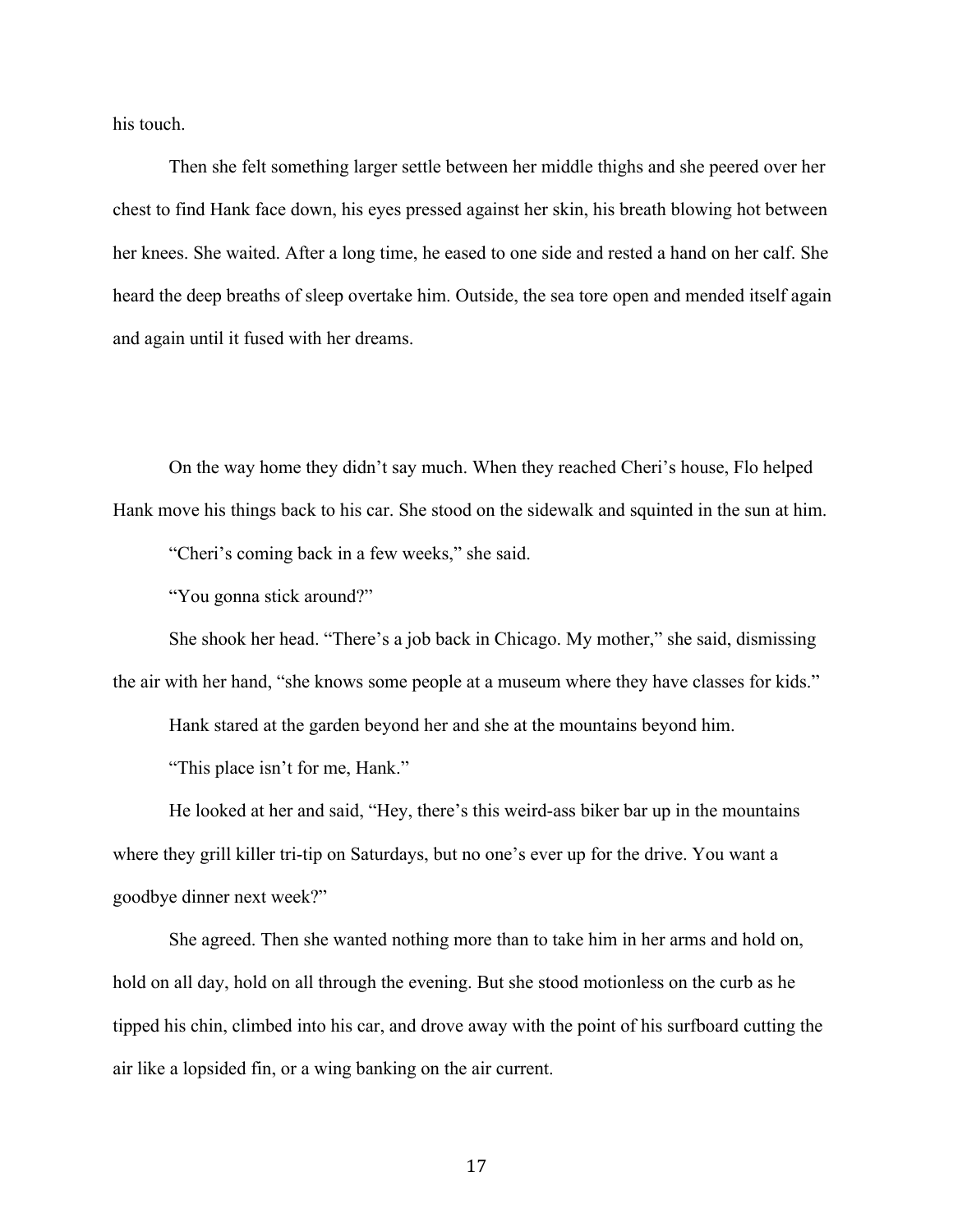his touch.

Then she felt something larger settle between her middle thighs and she peered over her chest to find Hank face down, his eyes pressed against her skin, his breath blowing hot between her knees. She waited. After a long time, he eased to one side and rested a hand on her calf. She heard the deep breaths of sleep overtake him. Outside, the sea tore open and mended itself again and again until it fused with her dreams.

On the way home they didn't say much. When they reached Cheri's house, Flo helped Hank move his things back to his car. She stood on the sidewalk and squinted in the sun at him.

"Cheri's coming back in a few weeks," she said.

"You gonna stick around?"

She shook her head. "There's a job back in Chicago. My mother," she said, dismissing the air with her hand, "she knows some people at a museum where they have classes for kids."

Hank stared at the garden beyond her and she at the mountains beyond him.

"This place isn't for me, Hank."

He looked at her and said, "Hey, there's this weird-ass biker bar up in the mountains where they grill killer tri-tip on Saturdays, but no one's ever up for the drive. You want a goodbye dinner next week?"

She agreed. Then she wanted nothing more than to take him in her arms and hold on, hold on all day, hold on all through the evening. But she stood motionless on the curb as he tipped his chin, climbed into his car, and drove away with the point of his surfboard cutting the air like a lopsided fin, or a wing banking on the air current.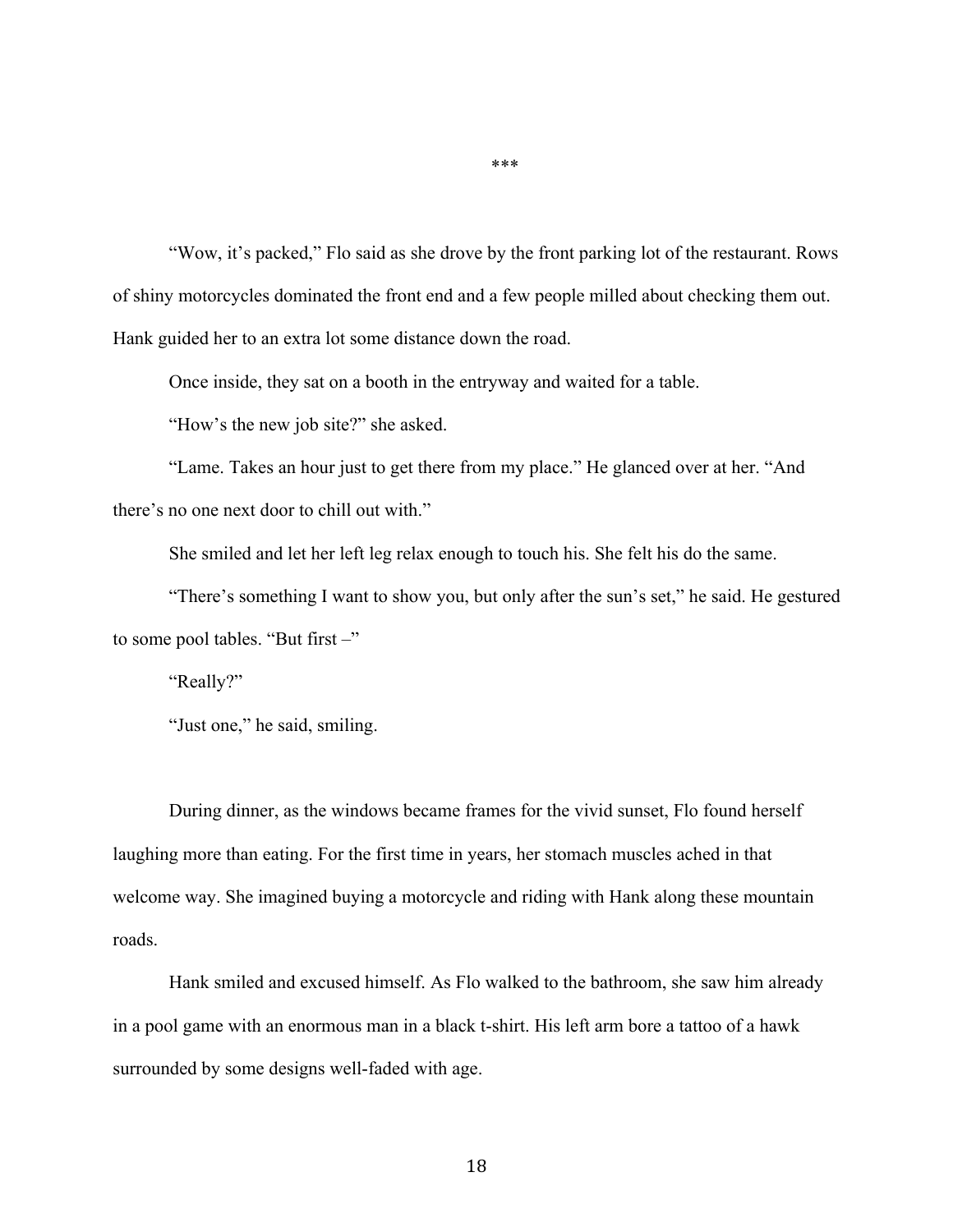"Wow, it's packed," Flo said as she drove by the front parking lot of the restaurant. Rows of shiny motorcycles dominated the front end and a few people milled about checking them out. Hank guided her to an extra lot some distance down the road.

Once inside, they sat on a booth in the entryway and waited for a table.

"How's the new job site?" she asked.

"Lame. Takes an hour just to get there from my place." He glanced over at her. "And there's no one next door to chill out with."

She smiled and let her left leg relax enough to touch his. She felt his do the same.

"There's something I want to show you, but only after the sun's set," he said. He gestured to some pool tables. "But first –"

"Really?"

"Just one," he said, smiling.

During dinner, as the windows became frames for the vivid sunset, Flo found herself laughing more than eating. For the first time in years, her stomach muscles ached in that welcome way. She imagined buying a motorcycle and riding with Hank along these mountain roads.

Hank smiled and excused himself. As Flo walked to the bathroom, she saw him already in a pool game with an enormous man in a black t-shirt. His left arm bore a tattoo of a hawk surrounded by some designs well-faded with age.

\*\*\*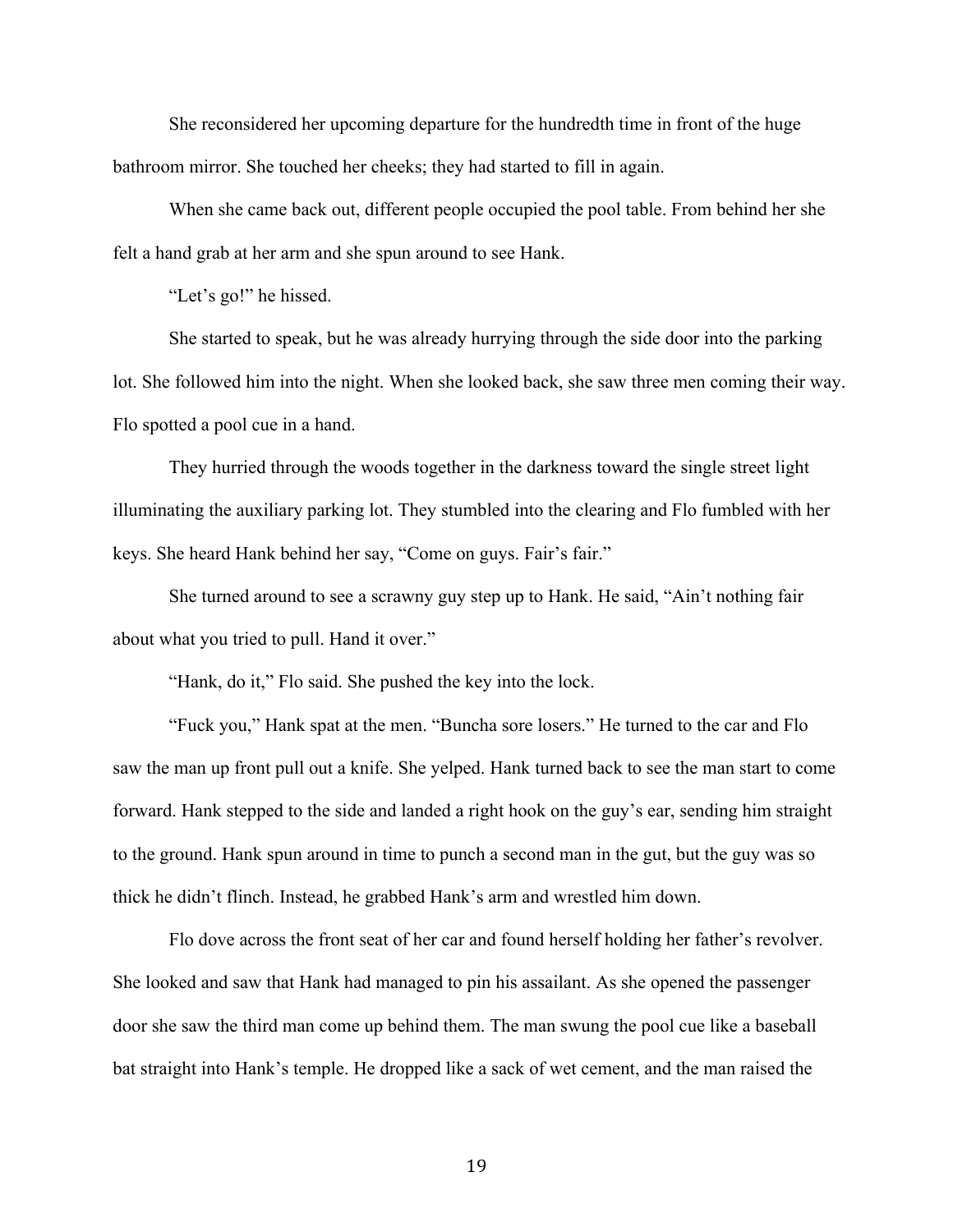She reconsidered her upcoming departure for the hundredth time in front of the huge bathroom mirror. She touched her cheeks; they had started to fill in again.

When she came back out, different people occupied the pool table. From behind her she felt a hand grab at her arm and she spun around to see Hank.

"Let's go!" he hissed.

She started to speak, but he was already hurrying through the side door into the parking lot. She followed him into the night. When she looked back, she saw three men coming their way. Flo spotted a pool cue in a hand.

They hurried through the woods together in the darkness toward the single street light illuminating the auxiliary parking lot. They stumbled into the clearing and Flo fumbled with her keys. She heard Hank behind her say, "Come on guys. Fair's fair."

She turned around to see a scrawny guy step up to Hank. He said, "Ain't nothing fair about what you tried to pull. Hand it over."

"Hank, do it," Flo said. She pushed the key into the lock.

"Fuck you," Hank spat at the men. "Buncha sore losers." He turned to the car and Flo saw the man up front pull out a knife. She yelped. Hank turned back to see the man start to come forward. Hank stepped to the side and landed a right hook on the guy's ear, sending him straight to the ground. Hank spun around in time to punch a second man in the gut, but the guy was so thick he didn't flinch. Instead, he grabbed Hank's arm and wrestled him down.

Flo dove across the front seat of her car and found herself holding her father's revolver. She looked and saw that Hank had managed to pin his assailant. As she opened the passenger door she saw the third man come up behind them. The man swung the pool cue like a baseball bat straight into Hank's temple. He dropped like a sack of wet cement, and the man raised the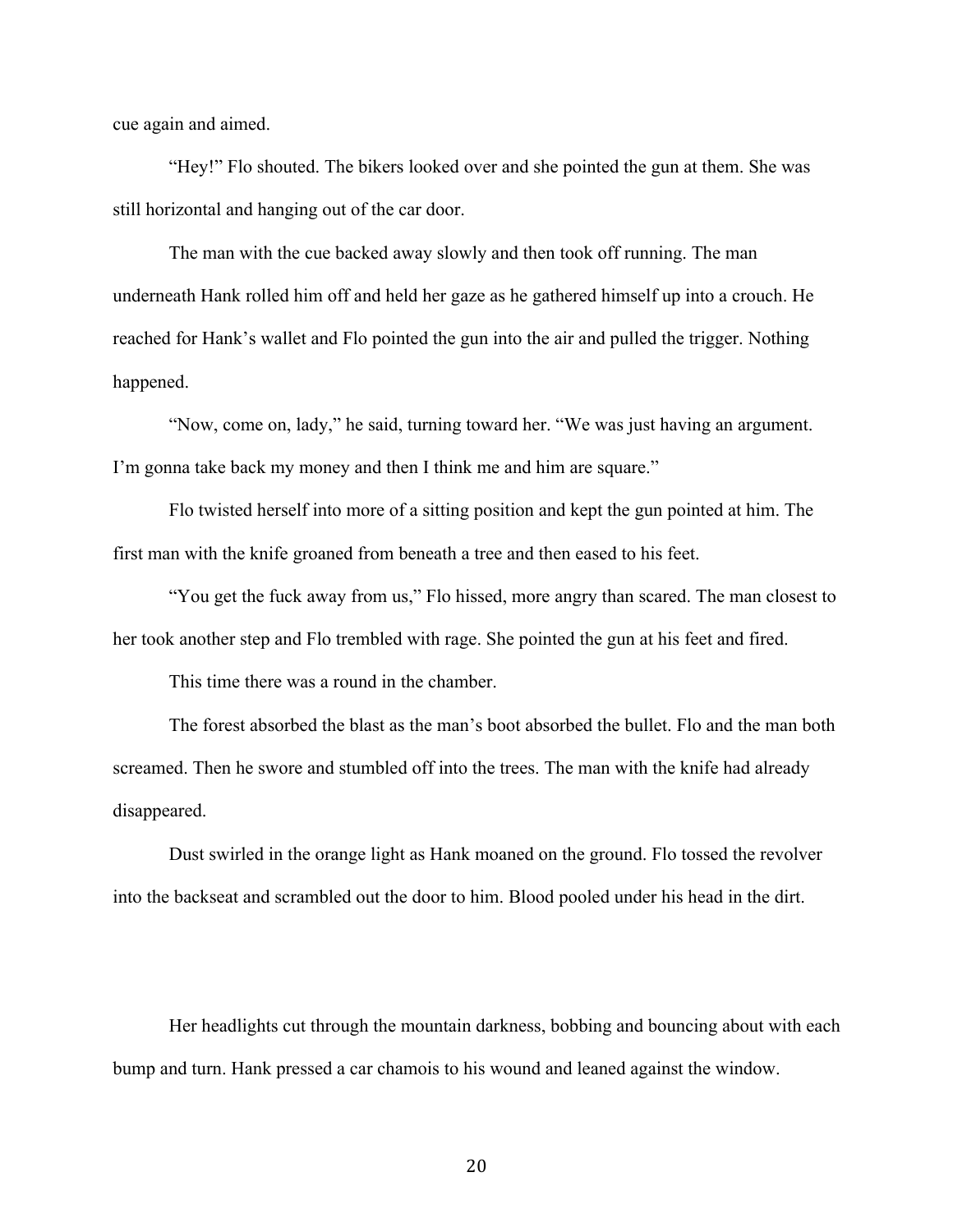cue again and aimed.

"Hey!" Flo shouted. The bikers looked over and she pointed the gun at them. She was still horizontal and hanging out of the car door.

The man with the cue backed away slowly and then took off running. The man underneath Hank rolled him off and held her gaze as he gathered himself up into a crouch. He reached for Hank's wallet and Flo pointed the gun into the air and pulled the trigger. Nothing happened.

"Now, come on, lady," he said, turning toward her. "We was just having an argument. I'm gonna take back my money and then I think me and him are square."

Flo twisted herself into more of a sitting position and kept the gun pointed at him. The first man with the knife groaned from beneath a tree and then eased to his feet.

"You get the fuck away from us," Flo hissed, more angry than scared. The man closest to her took another step and Flo trembled with rage. She pointed the gun at his feet and fired.

This time there was a round in the chamber.

The forest absorbed the blast as the man's boot absorbed the bullet. Flo and the man both screamed. Then he swore and stumbled off into the trees. The man with the knife had already disappeared.

Dust swirled in the orange light as Hank moaned on the ground. Flo tossed the revolver into the backseat and scrambled out the door to him. Blood pooled under his head in the dirt.

Her headlights cut through the mountain darkness, bobbing and bouncing about with each bump and turn. Hank pressed a car chamois to his wound and leaned against the window.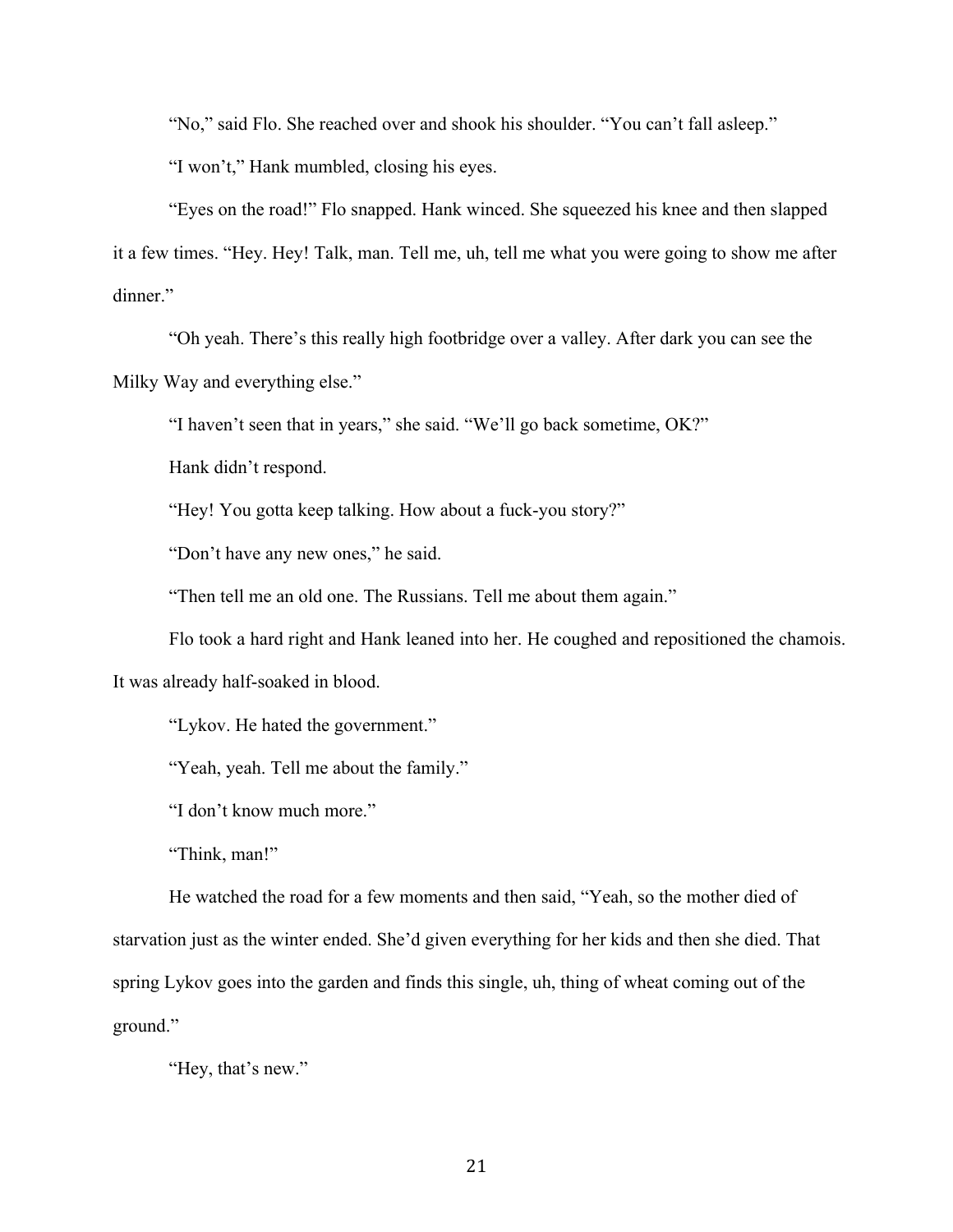"No," said Flo. She reached over and shook his shoulder. "You can't fall asleep."

"I won't," Hank mumbled, closing his eyes.

"Eyes on the road!" Flo snapped. Hank winced. She squeezed his knee and then slapped it a few times. "Hey. Hey! Talk, man. Tell me, uh, tell me what you were going to show me after dinner."

"Oh yeah. There's this really high footbridge over a valley. After dark you can see the Milky Way and everything else."

"I haven't seen that in years," she said. "We'll go back sometime, OK?"

Hank didn't respond.

"Hey! You gotta keep talking. How about a fuck-you story?"

"Don't have any new ones," he said.

"Then tell me an old one. The Russians. Tell me about them again."

Flo took a hard right and Hank leaned into her. He coughed and repositioned the chamois.

It was already half-soaked in blood.

"Lykov. He hated the government."

"Yeah, yeah. Tell me about the family."

"I don't know much more."

"Think, man!"

He watched the road for a few moments and then said, "Yeah, so the mother died of starvation just as the winter ended. She'd given everything for her kids and then she died. That spring Lykov goes into the garden and finds this single, uh, thing of wheat coming out of the ground."

"Hey, that's new."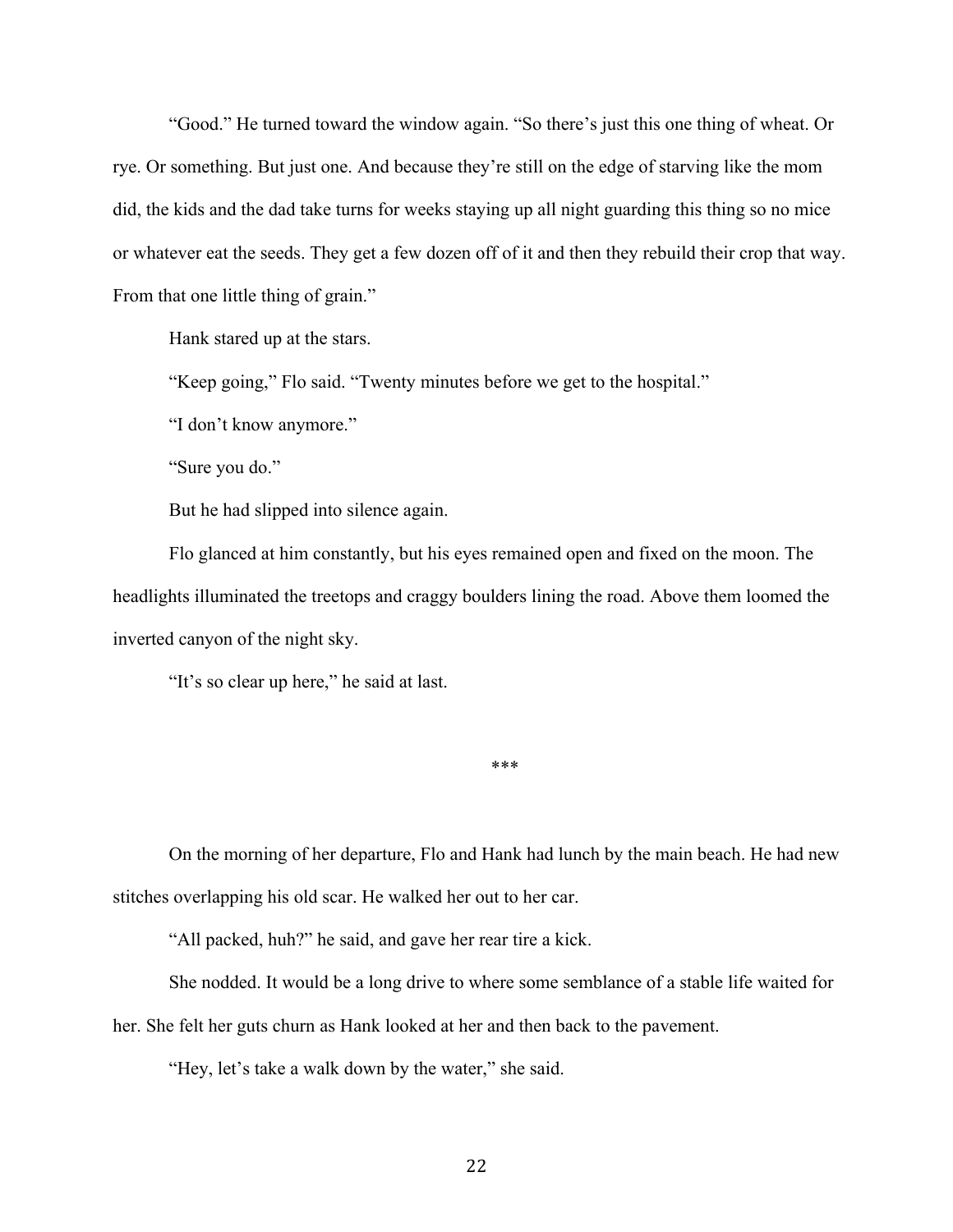"Good." He turned toward the window again. "So there's just this one thing of wheat. Or rye. Or something. But just one. And because they're still on the edge of starving like the mom did, the kids and the dad take turns for weeks staying up all night guarding this thing so no mice or whatever eat the seeds. They get a few dozen off of it and then they rebuild their crop that way. From that one little thing of grain."

Hank stared up at the stars.

"Keep going," Flo said. "Twenty minutes before we get to the hospital."

"I don't know anymore."

"Sure you do."

But he had slipped into silence again.

Flo glanced at him constantly, but his eyes remained open and fixed on the moon. The headlights illuminated the treetops and craggy boulders lining the road. Above them loomed the inverted canyon of the night sky.

"It's so clear up here," he said at last.

\*\*\*

On the morning of her departure, Flo and Hank had lunch by the main beach. He had new stitches overlapping his old scar. He walked her out to her car.

"All packed, huh?" he said, and gave her rear tire a kick.

She nodded. It would be a long drive to where some semblance of a stable life waited for her. She felt her guts churn as Hank looked at her and then back to the pavement.

"Hey, let's take a walk down by the water," she said.